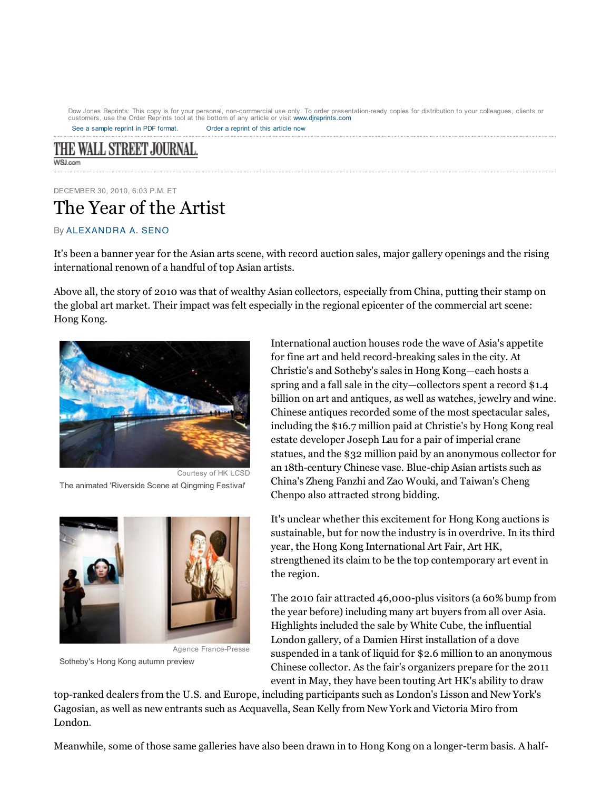See a sample reprint in PDF format. Order a reprint of this article now Dow Jones Reprints: This copy is for your personal, non-commercial use only. To order presentation-ready copies for distribution to your colleagues, clients or<br>customers, use the Order Reprints tool at the bottom of any ar

THE WALL STREET JOURNAL. WSLown

DECEMBER 30, 2010, 6:03 P.M. ET The Year of the Artist

## By ALEXANDRA A. SENO

It's been a banner year for the Asian arts scene, with record auction sales, major gallery openings and the rising international renown of a handful of top Asian artists.

Above all, the story of 2010 was that of wealthy Asian collectors, especially from China, putting their stamp on the global art market. Their impact was felt especially in the regional epicenter of the commercial art scene: Hong Kong.



Courtesy of HK LCSD The animated 'Riverside Scene at Qingming Festival'



Agence France-Presse

Sotheby's Hong Kong autumn preview

International auction houses rode the wave of Asia's appetite for fine art and held record-breaking sales in the city. At Christie's and Sotheby's sales in Hong Kong—each hosts a spring and a fall sale in the city—collectors spent a record \$1.4 billion on art and antiques, as well as watches, jewelry and wine. Chinese antiques recorded some of the most spectacular sales, including the \$16.7 million paid at Christie's by Hong Kong real estate developer Joseph Lau for a pair of imperial crane statues, and the \$32 million paid by an anonymous collector for an 18th-century Chinese vase. Blue-chip Asian artists such as China's Zheng Fanzhi and Zao Wouki, and Taiwan's Cheng Chenpo also attracted strong bidding.

It's unclear whether this excitement for Hong Kong auctions is sustainable, but for now the industry is in overdrive. In its third year, the Hong Kong International Art Fair, Art HK, strengthened its claim to be the top contemporary art event in the region.

The 2010 fair attracted 46,000-plus visitors (a 60% bump from the year before) including many art buyers from all over Asia. Highlights included the sale by White Cube, the influential London gallery, of a Damien Hirst installation of a dove suspended in a tank of liquid for \$2.6 million to an anonymous Chinese collector. As the fair's organizers prepare for the 2011 event in May, they have been touting Art HK's ability to draw

top-ranked dealers from the U.S. and Europe, including participants such as London's Lisson and New York's Gagosian, as well as new entrants such as Acquavella, Sean Kelly from New York and Victoria Miro from London.

Meanwhile, some of those same galleries have also been drawn in to Hong Kong on a longer-term basis. A half-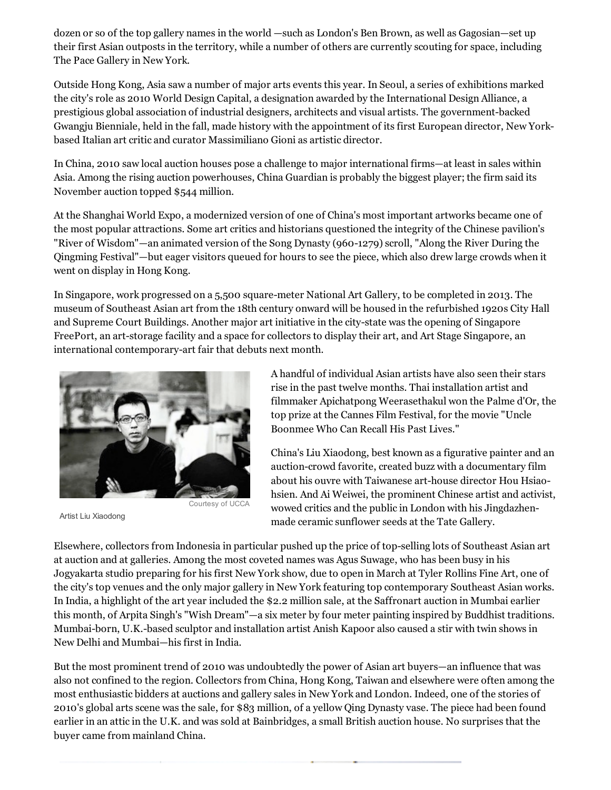dozen or so of the top gallery names in the world —such as London's Ben Brown, as well as Gagosian—set up their first Asian outposts in the territory, while a number of others are currently scouting for space, including The Pace Gallery in New York.

Outside Hong Kong, Asia saw a number of major arts events this year. In Seoul, a series of exhibitions marked the city's role as 2010 World Design Capital, a designation awarded by the International Design Alliance, a prestigious global association of industrial designers, architects and visual artists. The government-backed Gwangju Bienniale, held in the fall, made history with the appointment of its first European director, New Yorkbased Italian art critic and curator Massimiliano Gioni as artistic director.

In China, 2010 saw local auction houses pose a challenge to major international firms—at least in sales within Asia. Among the rising auction powerhouses, China Guardian is probably the biggest player; the firm said its November auction topped \$544 million.

At the Shanghai World Expo, a modernized version of one of China's most important artworks became one of the most popular attractions. Some art critics and historians questioned the integrity of the Chinese pavilion's "River of Wisdom"—an animated version of the Song Dynasty (960-1279) scroll, "Along the River During the Qingming Festival"—but eager visitors queued for hours to see the piece, which also drew large crowds when it went on display in Hong Kong.

In Singapore, work progressed on a 5,500 square-meter National Art Gallery, to be completed in 2013. The museum of Southeast Asian art from the 18th century onward will be housed in the refurbished 1920s City Hall and Supreme Court Buildings. Another major art initiative in the city-state was the opening of Singapore FreePort, an art-storage facility and a space for collectors to display their art, and Art Stage Singapore, an international contemporary-art fair that debuts next month.



Artist Liu Xiaodong

A handful of individual Asian artists have also seen their stars rise in the past twelve months. Thai installation artist and filmmaker Apichatpong Weerasethakul won the Palme d'Or, the top prize at the Cannes Film Festival, for the movie "Uncle Boonmee Who Can Recall His Past Lives."

China's Liu Xiaodong, best known as a figurative painter and an auction-crowd favorite, created buzz with a documentary film about his ouvre with Taiwanese art-house director Hou Hsiaohsien. And Ai Weiwei, the prominent Chinese artist and activist, wowed critics and the public in London with his Jingdazhenmade ceramic sunflower seeds at the Tate Gallery.

Elsewhere, collectors from Indonesia in particular pushed up the price of top-selling lots of Southeast Asian art at auction and at galleries. Among the most coveted names was Agus Suwage, who has been busy in his Jogyakarta studio preparing for his first New York show, due to open in March at Tyler Rollins Fine Art, one of the city's top venues and the only major gallery in New York featuring top contemporary Southeast Asian works. In India, a highlight of the art year included the \$2.2 million sale, at the Saffronart auction in Mumbai earlier this month, of Arpita Singh's "Wish Dream"—a six meter by four meter painting inspired by Buddhist traditions. Mumbai-born, U.K.-based sculptor and installation artist Anish Kapoor also caused a stir with twin shows in New Delhi and Mumbai—his first in India.

But the most prominent trend of 2010 was undoubtedly the power of Asian art buyers—an influence that was also not confined to the region. Collectors from China, Hong Kong, Taiwan and elsewhere were often among the most enthusiastic bidders at auctions and gallery sales in New York and London. Indeed, one of the stories of 2010's global arts scene was the sale, for \$83 million, of a yellow Qing Dynasty vase. The piece had been found earlier in an attic in the U.K. and was sold at Bainbridges, a small British auction house. No surprises that the buyer came from mainland China.